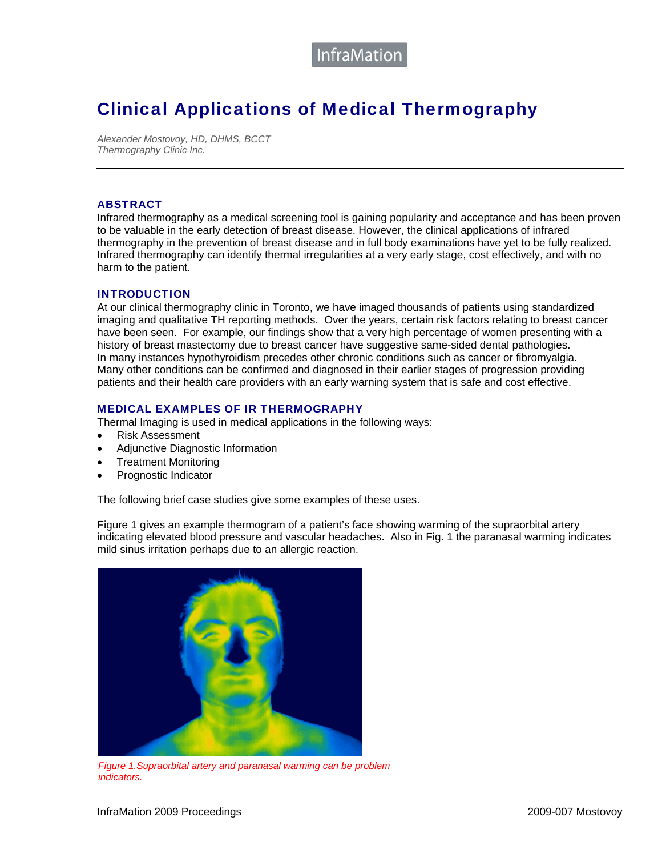### Clinical Applications of Medical Thermography

*Alexander Mostovoy, HD, DHMS, BCCT Thermography Clinic Inc.* 

#### **ABSTRACT**

Infrared thermography as a medical screening tool is gaining popularity and acceptance and has been proven to be valuable in the early detection of breast disease. However, the clinical applications of infrared thermography in the prevention of breast disease and in full body examinations have yet to be fully realized. Infrared thermography can identify thermal irregularities at a very early stage, cost effectively, and with no harm to the patient.

#### INTRODUCTION

At our clinical thermography clinic in Toronto, we have imaged thousands of patients using standardized imaging and qualitative TH reporting methods. Over the years, certain risk factors relating to breast cancer have been seen. For example, our findings show that a very high percentage of women presenting with a history of breast mastectomy due to breast cancer have suggestive same-sided dental pathologies. In many instances hypothyroidism precedes other chronic conditions such as cancer or fibromyalgia. Many other conditions can be confirmed and diagnosed in their earlier stages of progression providing patients and their health care providers with an early warning system that is safe and cost effective.

#### MEDICAL EXAMPLES OF IR THERMOGRAPHY

Thermal Imaging is used in medical applications in the following ways:

- Risk Assessment
- Adjunctive Diagnostic Information
- Treatment Monitoring
- Prognostic Indicator

The following brief case studies give some examples of these uses.

Figure 1 gives an example thermogram of a patient's face showing warming of the supraorbital artery indicating elevated blood pressure and vascular headaches. Also in Fig. 1 the paranasal warming indicates mild sinus irritation perhaps due to an allergic reaction.



*Figure 1.Supraorbital artery and paranasal warming can be problem indicators.*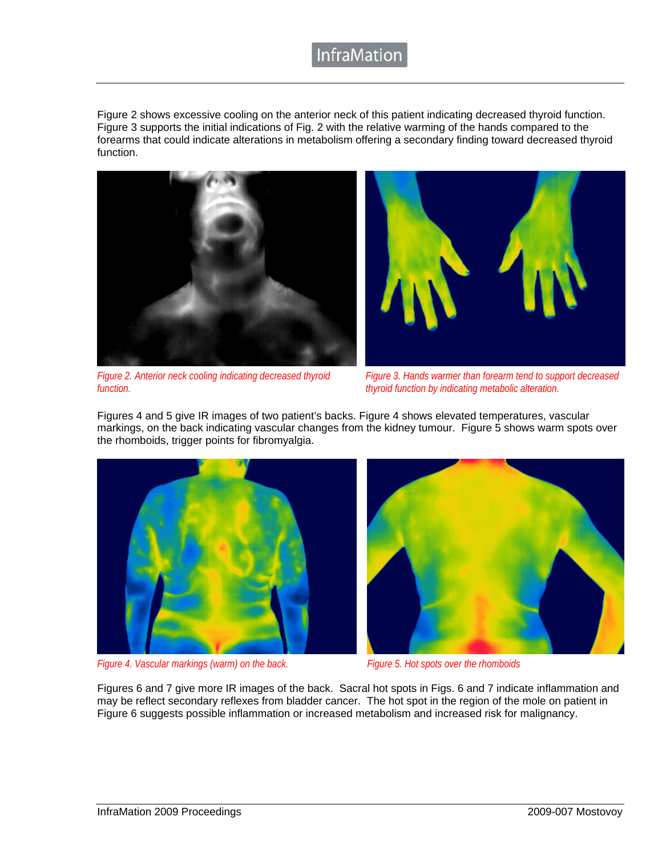### **InfraMatior**

Figure 2 shows excessive cooling on the anterior neck of this patient indicating decreased thyroid function. Figure 3 supports the initial indications of Fig. 2 with the relative warming of the hands compared to the forearms that could indicate alterations in metabolism offering a secondary finding toward decreased thyroid function.





*Figure 2. Anterior neck cooling indicating decreased thyroid function.* 

*Figure 3. Hands warmer than forearm tend to support decreased thyroid function by indicating metabolic alteration.* 

Figures 4 and 5 give IR images of two patient's backs. Figure 4 shows elevated temperatures, vascular markings, on the back indicating vascular changes from the kidney tumour. Figure 5 shows warm spots over the rhomboids, trigger points for fibromyalgia.



*Figure 4. Vascular markings (warm) on the back. Figure 5. Hot spots over the rhomboids*



Figures 6 and 7 give more IR images of the back. Sacral hot spots in Figs. 6 and 7 indicate inflammation and may be reflect secondary reflexes from bladder cancer. The hot spot in the region of the mole on patient in Figure 6 suggests possible inflammation or increased metabolism and increased risk for malignancy.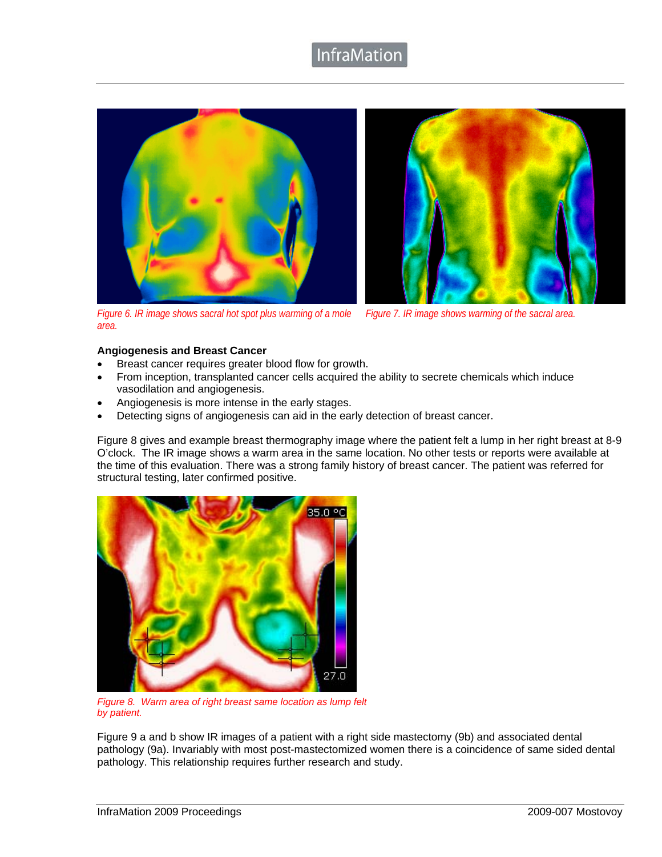### **InfraMatior**





*Figure 6. IR image shows sacral hot spot plus warming of a mole area. Figure 7. IR image shows warming of the sacral area.*

### **Angiogenesis and Breast Cancer**

- Breast cancer requires greater blood flow for growth.
- From inception, transplanted cancer cells acquired the ability to secrete chemicals which induce vasodilation and angiogenesis.
- Angiogenesis is more intense in the early stages.
- Detecting signs of angiogenesis can aid in the early detection of breast cancer.

Figure 8 gives and example breast thermography image where the patient felt a lump in her right breast at 8-9 O'clock. The IR image shows a warm area in the same location. No other tests or reports were available at the time of this evaluation. There was a strong family history of breast cancer. The patient was referred for structural testing, later confirmed positive.



*Figure 8. Warm area of right breast same location as lump felt by patient.*

Figure 9 a and b show IR images of a patient with a right side mastectomy (9b) and associated dental pathology (9a). Invariably with most post-mastectomized women there is a coincidence of same sided dental pathology. This relationship requires further research and study.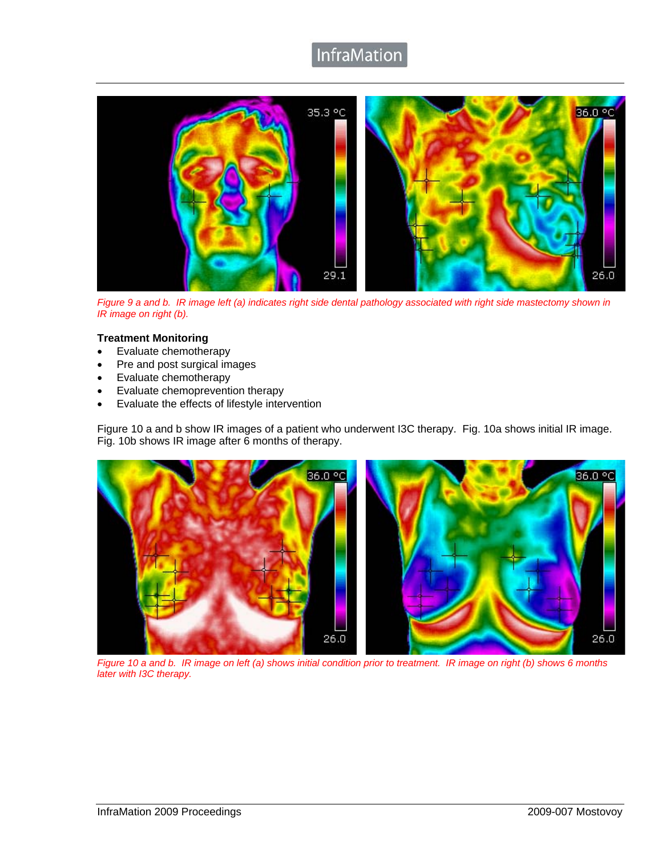## InfraMation



*Figure 9 a and b. IR image left (a) indicates right side dental pathology associated with right side mastectomy shown in IR image on right (b).*

### **Treatment Monitoring**

- Evaluate chemotherapy
- Pre and post surgical images
- Evaluate chemotherapy
- Evaluate chemoprevention therapy
- Evaluate the effects of lifestyle intervention

Figure 10 a and b show IR images of a patient who underwent I3C therapy. Fig. 10a shows initial IR image. Fig. 10b shows IR image after 6 months of therapy.



*Figure 10 a and b. IR image on left (a) shows initial condition prior to treatment. IR image on right (b) shows 6 months later with I3C therapy.*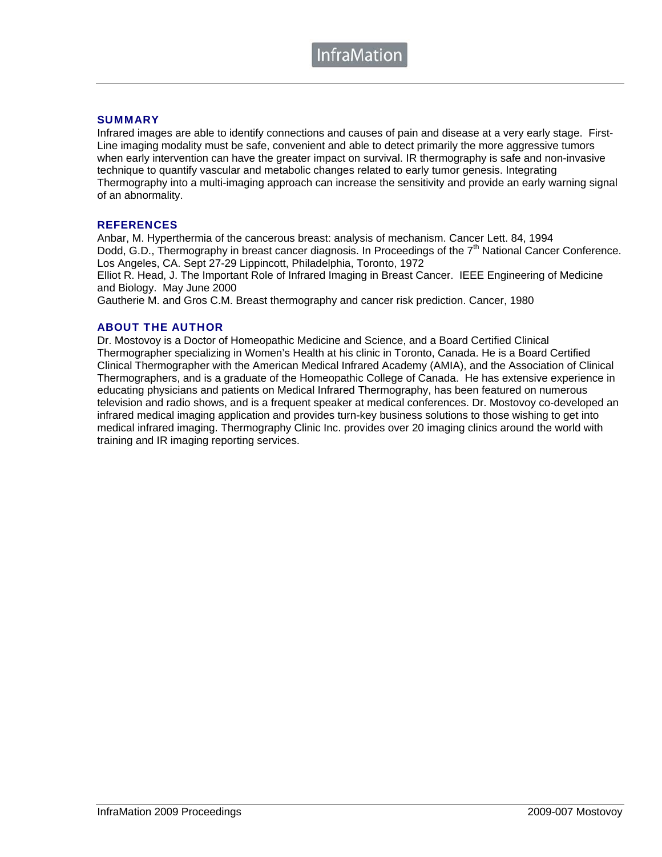### **SUMMARY**

Infrared images are able to identify connections and causes of pain and disease at a very early stage. First-Line imaging modality must be safe, convenient and able to detect primarily the more aggressive tumors when early intervention can have the greater impact on survival. IR thermography is safe and non-invasive technique to quantify vascular and metabolic changes related to early tumor genesis. Integrating Thermography into a multi-imaging approach can increase the sensitivity and provide an early warning signal of an abnormality.

### **REFERENCES**

Anbar, M. Hyperthermia of the cancerous breast: analysis of mechanism. Cancer Lett. 84, 1994 Dodd, G.D., Thermography in breast cancer diagnosis. In Proceedings of the  $7<sup>th</sup>$  National Cancer Conference. Los Angeles, CA. Sept 27-29 Lippincott, Philadelphia, Toronto, 1972

Elliot R. Head, J. The Important Role of Infrared Imaging in Breast Cancer. IEEE Engineering of Medicine and Biology. May June 2000

Gautherie M. and Gros C.M. Breast thermography and cancer risk prediction. Cancer, 1980

### ABOUT THE AUTHOR

Dr. Mostovoy is a Doctor of Homeopathic Medicine and Science, and a Board Certified Clinical Thermographer specializing in Women's Health at his clinic in Toronto, Canada. He is a Board Certified Clinical Thermographer with the American Medical Infrared Academy (AMIA), and the Association of Clinical Thermographers, and is a graduate of the Homeopathic College of Canada. He has extensive experience in educating physicians and patients on Medical Infrared Thermography, has been featured on numerous television and radio shows, and is a frequent speaker at medical conferences. Dr. Mostovoy co-developed an infrared medical imaging application and provides turn-key business solutions to those wishing to get into medical infrared imaging. Thermography Clinic Inc. provides over 20 imaging clinics around the world with training and IR imaging reporting services.